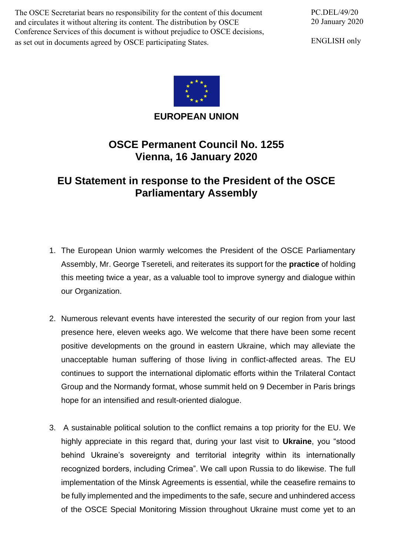The OSCE Secretariat bears no responsibility for the content of this document and circulates it without altering its content. The distribution by OSCE Conference Services of this document is without prejudice to OSCE decisions, as set out in documents agreed by OSCE participating States.

PC.DEL/49/20 20 January 2020

ENGLISH only



**EUROPEAN UNION**

## **OSCE Permanent Council No. 1255 Vienna, 16 January 2020**

## **EU Statement in response to the President of the OSCE Parliamentary Assembly**

- 1. The European Union warmly welcomes the President of the OSCE Parliamentary Assembly, Mr. George Tsereteli, and reiterates its support for the **practice** of holding this meeting twice a year, as a valuable tool to improve synergy and dialogue within our Organization.
- 2. Numerous relevant events have interested the security of our region from your last presence here, eleven weeks ago. We welcome that there have been some recent positive developments on the ground in eastern Ukraine, which may alleviate the unacceptable human suffering of those living in conflict-affected areas. The EU continues to support the international diplomatic efforts within the Trilateral Contact Group and the Normandy format, whose summit held on 9 December in Paris brings hope for an intensified and result-oriented dialogue.
- 3. A sustainable political solution to the conflict remains a top priority for the EU. We highly appreciate in this regard that, during your last visit to **Ukraine**, you "stood behind Ukraine's sovereignty and territorial integrity within its internationally recognized borders, including Crimea". We call upon Russia to do likewise. The full implementation of the Minsk Agreements is essential, while the ceasefire remains to be fully implemented and the impediments to the safe, secure and unhindered access of the OSCE Special Monitoring Mission throughout Ukraine must come yet to an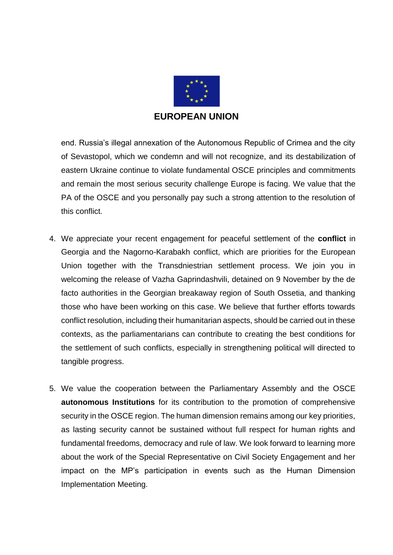

end. Russia's illegal annexation of the Autonomous Republic of Crimea and the city of Sevastopol, which we condemn and will not recognize, and its destabilization of eastern Ukraine continue to violate fundamental OSCE principles and commitments and remain the most serious security challenge Europe is facing. We value that the PA of the OSCE and you personally pay such a strong attention to the resolution of this conflict.

- 4. We appreciate your recent engagement for peaceful settlement of the **conflict** in Georgia and the Nagorno-Karabakh conflict, which are priorities for the European Union together with the Transdniestrian settlement process. We join you in welcoming the release of Vazha Gaprindashvili, detained on 9 November by the de facto authorities in the Georgian breakaway region of South Ossetia, and thanking those who have been working on this case. We believe that further efforts towards conflict resolution, including their humanitarian aspects, should be carried out in these contexts, as the parliamentarians can contribute to creating the best conditions for the settlement of such conflicts, especially in strengthening political will directed to tangible progress.
- 5. We value the cooperation between the Parliamentary Assembly and the OSCE **autonomous Institutions** for its contribution to the promotion of comprehensive security in the OSCE region. The human dimension remains among our key priorities, as lasting security cannot be sustained without full respect for human rights and fundamental freedoms, democracy and rule of law. We look forward to learning more about the work of the Special Representative on Civil Society Engagement and her impact on the MP's participation in events such as the Human Dimension Implementation Meeting.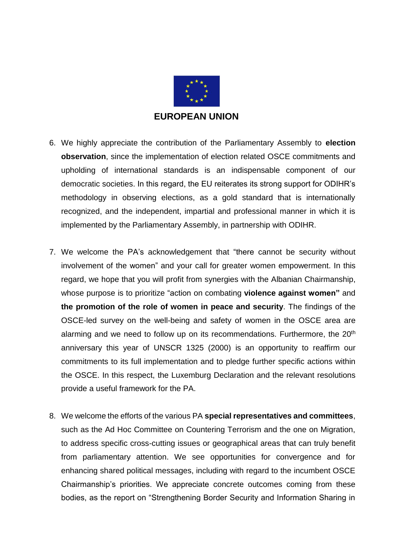

- 6. We highly appreciate the contribution of the Parliamentary Assembly to **election observation**, since the implementation of election related OSCE commitments and upholding of international standards is an indispensable component of our democratic societies. In this regard, the EU reiterates its strong support for ODIHR's methodology in observing elections, as a gold standard that is internationally recognized, and the independent, impartial and professional manner in which it is implemented by the Parliamentary Assembly, in partnership with ODIHR.
- 7. We welcome the PA's acknowledgement that "there cannot be security without involvement of the women" and your call for greater women empowerment. In this regard, we hope that you will profit from synergies with the Albanian Chairmanship, whose purpose is to prioritize "action on combating **violence against women"** and **the promotion of the role of women in peace and security**. The findings of the OSCE-led survey on the well-being and safety of women in the OSCE area are alarming and we need to follow up on its recommendations. Furthermore, the 20<sup>th</sup> anniversary this year of UNSCR 1325 (2000) is an opportunity to reaffirm our commitments to its full implementation and to pledge further specific actions within the OSCE. In this respect, the Luxemburg Declaration and the relevant resolutions provide a useful framework for the PA.
- 8. We welcome the efforts of the various PA **special representatives and committees**, such as the Ad Hoc Committee on Countering Terrorism and the one on Migration, to address specific cross-cutting issues or geographical areas that can truly benefit from parliamentary attention. We see opportunities for convergence and for enhancing shared political messages, including with regard to the incumbent OSCE Chairmanship's priorities. We appreciate concrete outcomes coming from these bodies, as the report on "Strengthening Border Security and Information Sharing in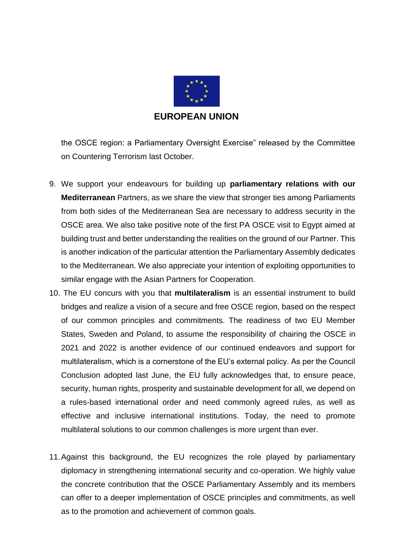

the OSCE region: a Parliamentary Oversight Exercise" released by the Committee on Countering Terrorism last October.

- 9. We support your endeavours for building up **parliamentary relations with our Mediterranean** Partners, as we share the view that stronger ties among Parliaments from both sides of the Mediterranean Sea are necessary to address security in the OSCE area. We also take positive note of the first PA OSCE visit to Egypt aimed at building trust and better understanding the realities on the ground of our Partner. This is another indication of the particular attention the Parliamentary Assembly dedicates to the Mediterranean. We also appreciate your intention of exploiting opportunities to similar engage with the Asian Partners for Cooperation.
- 10. The EU concurs with you that **multilateralism** is an essential instrument to build bridges and realize a vision of a secure and free OSCE region, based on the respect of our common principles and commitments. The readiness of two EU Member States, Sweden and Poland, to assume the responsibility of chairing the OSCE in 2021 and 2022 is another evidence of our continued endeavors and support for multilateralism, which is a cornerstone of the EU's external policy. As per the Council Conclusion adopted last June, the EU fully acknowledges that, to ensure peace, security, human rights, prosperity and sustainable development for all, we depend on a rules-based international order and need commonly agreed rules, as well as effective and inclusive international institutions. Today, the need to promote multilateral solutions to our common challenges is more urgent than ever.
- 11.Against this background, the EU recognizes the role played by parliamentary diplomacy in strengthening international security and co-operation. We highly value the concrete contribution that the OSCE Parliamentary Assembly and its members can offer to a deeper implementation of OSCE principles and commitments, as well as to the promotion and achievement of common goals.